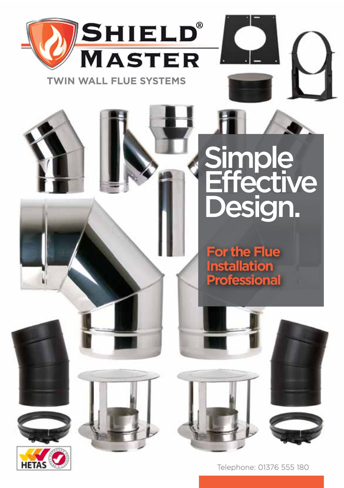

# **Simple Effective** Design.

**For the Flue Installation Professional**





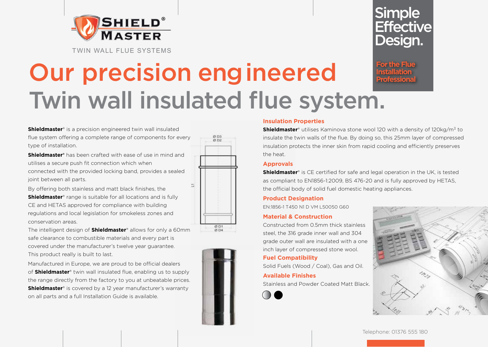

Twin Wall Flue Systems

# **Simple Effective** Design.

**For the Flue Installation Professional**

# Our precision engineered Twin wall insulated flue system.

#### **Shieldmaster**® is a precision engineered twin wall insulated

flue system offering a complete range of components for every type of installation.

**Shieldmaster®** has been crafted with ease of use in mind and utilises a secure push fit connection which when connected with the provided locking band, provides a sealed joint between all parts.

By offering both stainless and matt black finishes, the **Shieldmaster**<sup>®</sup> range is suitable for all locations and is fully CE and HETAS approved for compliance with building regulations and local legislation for smokeless zones and conservation areas.

The intelligent design of **Shieldmaster**® allows for only a 60mm safe clearance to combustible materials and every part is covered under the manufacturer's twelve year guarantee. This product really is built to last.

Manufactured in Europe, we are proud to be official dealers of **Shieldmaster**® twin wall insulated flue, enabling us to supply the range directly from the factory to you at unbeatable prices. **Shieldmaster**® is covered by a 12 year manufacturer's warranty on all parts and a full Installation Guide is available.





### **Insulation Properties**

**Shieldmaster**<sup>®</sup> utilises Kaminova stone wool 120 with a density of 120kg/m<sup>3</sup> to insulate the twin walls of the flue. By doing so, this 25mm layer of compressed insulation protects the inner skin from rapid cooling and efficiently preserves the heat.

### **Approvals**

**Shieldmaster**® is CE certified for safe and legal operation in the UK, is tested as compliant to EN1856-1:2009, BS 476-20 and is fully approved by HETAS, the official body of solid fuel domestic heating appliances.

### **Product Designation**

EN:1856-1 T450 N1 D VM L50050 G60

### **Material & Construction**

Constructed from 0.5mm thick stainless steel, the 316 grade inner wall and 304 grade outer wall are insulated with a one inch layer of compressed stone wool.

### **Fuel Compatibility**

Solid Fuels (Wood / Coal), Gas and Oil.

### **Available Finishes**

Stainless and Powder Coated Matt Black.



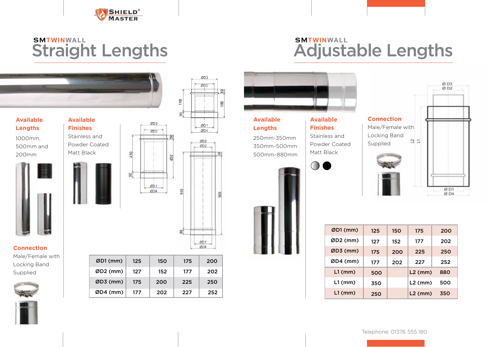

### Straight Lengths SM**TWINWALL** SM**TWINWALL**



ØD1 (mm) ØD2 (mm) ØD3 (mm) ØD4 (mm)  150 175 200 152 177 202 200 225 250 202 227 252

ØD3

 $ØD2$ 

ØD<sub>1</sub>  $ØD4$ 

203 802

ØD1 ØD4

 $\frac{64}{54}$ 

S)

Male/Female with Locking Band Supplied





# Adjustable Lengths



| $ØD1$ (mm) | 125 | 150 | 175       | 200 |
|------------|-----|-----|-----------|-----|
| ØD2 (mm)   | 127 | 152 | 177       | 202 |
| $ØD3$ (mm) | 175 | 200 | 225       | 250 |
| ØD4 (mm)   | 177 | 202 | 227       | 252 |
| $L1$ (mm)  | 500 |     | $L2$ (mm) | 880 |
| $L1$ (mm)  | 350 |     | $L2$ (mm) | 500 |
| $L1$ (mm)  | 250 |     | $L2$ (mm) | 350 |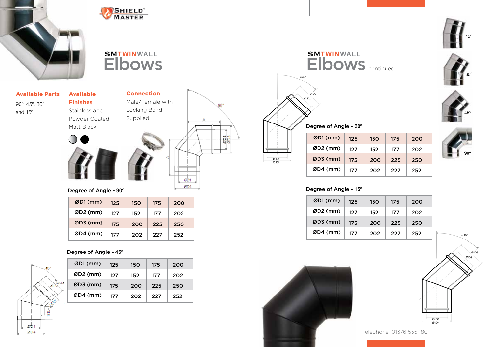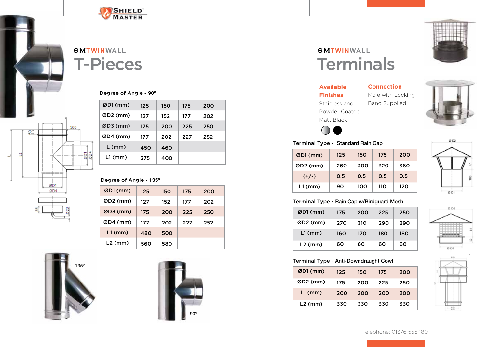

# T-Pieces SM**TWINWALL**

### Degree of Angle - 90º

| $ØD1$ (mm) | 125 | 150 | 175 | 200 |
|------------|-----|-----|-----|-----|
| $ØD2$ (mm) | 127 | 152 | 177 | 202 |
| $ØD3$ (mm) | 175 | 200 | 225 | 250 |
| $ØD4$ (mm) | 177 | 202 | 227 | 252 |
| $L$ (mm)   | 450 | 460 |     |     |
| $L1$ (mm)  | 375 | 400 |     |     |

### Degree of Angle - 135º

| $ØD1$ (mm) | 125 | 150 | 175 | 200 |
|------------|-----|-----|-----|-----|
| $ØD2$ (mm) | 127 | 152 | 177 | 202 |
| $ØD3$ (mm) | 175 | 200 | 225 | 250 |
| ØD4 (mm)   | 177 | 202 | 227 | 252 |
| $L1$ (mm)  | 480 | 500 |     |     |
| $L2$ (mm)  | 560 | 580 |     |     |



100

ର‡

ØD1  $Q<sub>D4</sub>$ 

Ħ



# **Terminals** SM**TWINWALL**

**Available Finishes** Stainless and Powder Coated Matt Black





#### Terminal Type - Standard Rain Cap

| 45U               | 40U |     |     |
|-------------------|-----|-----|-----|
| 375               | 400 |     |     |
|                   |     |     |     |
| $e - 135^{\circ}$ |     |     |     |
| 125               | 150 | 175 | 200 |



### Terminal Type - Rain Cap w/Birdguard Mesh

| $ØD1$ (mm) | 175 | 200 | 225 | 250 |
|------------|-----|-----|-----|-----|
| $ØD2$ (mm) | 270 | 310 | 290 | 290 |
| $L1$ (mm)  | 160 | 170 | 180 | 180 |
| $L2$ (mm)  | 60  | 60  | 60  | 60  |

# Ø D2

### Terminal Type - Anti-Downdraught Cowl

| $ØD1$ (mm) | 125 | 150 | 175 | 200 |
|------------|-----|-----|-----|-----|
| $ØD2$ (mm) | 175 | 200 | 225 | 250 |
| $L1$ (mm)  | 200 | 200 | 200 | 200 |
| $L2$ (mm)  | 330 | 330 | 330 | 330 |

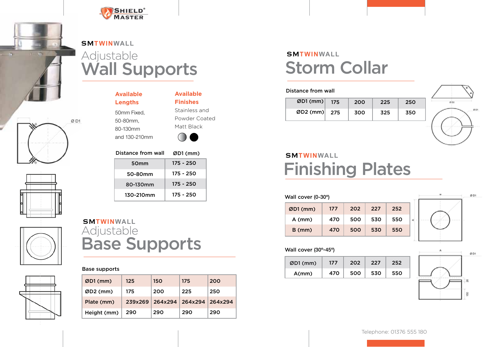



# Adjustable<br>**Wall Supports** SM**TWINWALL**









**Available Lengths** 50mm Fixed, 50-80mm, 80-130mm and 130-210mm

### **Available Finishes**

Stainless and Powder Coated Matt Black

 $\bigcap$ 



# Adjustable<br>**Base Supports** SM**TWINWALL**

### Base supports

| $ØD1$ (mm)  | 125     | 150     | 175             | 200 |
|-------------|---------|---------|-----------------|-----|
| $ØD2$ (mm)  | 175     | 200     | 225             | 250 |
| Plate (mm)  | 239x269 | 264x294 | 264x294 264x294 |     |
| Height (mm) | 290     | 290     | 290             | 290 |

# Storm Collar SM**TWINWALL**

#### Distance from wall

| $\emptyset$ D1 (mm) 175 | 200 | 225 | 250 |
|-------------------------|-----|-----|-----|
| ØD2 (mm) $275$          | 300 | 325 | 350 |



# Finishing Plates SM**TWINWALL**

| Wall cover (0-30°) |     |     |     |     |  |  |
|--------------------|-----|-----|-----|-----|--|--|
| $ØD1$ (mm)         | 177 | 202 | 227 | 252 |  |  |
| $A$ (mm)           | 470 | 500 | 530 | 550 |  |  |
| $B$ (mm)           | 470 | 500 | 530 | 550 |  |  |



### Wall cover (30º-45º)

| $ØD1$ (mm) | 177 | 202 | 227 | 752. |
|------------|-----|-----|-----|------|
| A(mm)      | 470 | 500 | 530 |      |

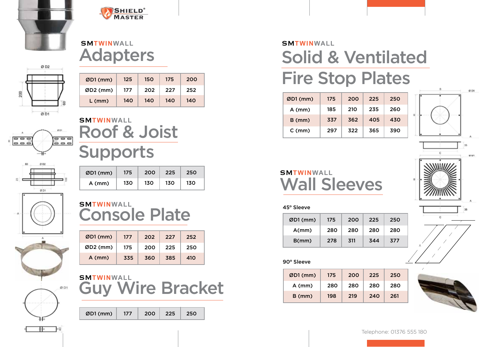



### Adapters SM**TWINWALL**



| $ØD1$ (mm) | 125 | 150 | 175 | 200 |
|------------|-----|-----|-----|-----|
| $ØD2$ (mm) | 177 | 202 | 227 | 252 |
| $L$ (mm)   | 140 | 140 | 140 | 140 |



 $0D1$ 

# Roof & Joist Supports **SMTWINWALL**

| $ØD1$ (mm) | 175 | 200 | 225 | 250 |
|------------|-----|-----|-----|-----|
| $A$ (mm)   | 130 | 130 | 130 | 130 |

### Console Plate SM**TWINWALL**

| $ØD1$ (mm) | 177 | 202 | 227 | 252 |
|------------|-----|-----|-----|-----|
| $ØD2$ (mm) | 175 | 200 | 225 | 250 |
| $A$ (mm)   | 335 | 360 | 385 | 410 |



| ØD1 (mm)   177   200   225   250 |  |  |
|----------------------------------|--|--|
|                                  |  |  |

# Solid & Ventilated Fire Stop Plates SM**TWINWALL**

| $ØD1$ (mm)  | 175 | 200 | 225 | 250 |
|-------------|-----|-----|-----|-----|
| $A$ (mm)    | 185 | 210 | 235 | 260 |
| $B$ (mm)    | 337 | 362 | 405 | 430 |
| $C \, (mm)$ | 297 | 322 | 365 | 390 |
|             |     |     |     |     |



### Wall Sleeves SM**TWINWALL**

### 45º Sleeve

| $ØD1$ (mm) | 175 | 200 | 225 | 250 |
|------------|-----|-----|-----|-----|
| A(mm)      | 280 | 280 | 280 | 280 |
| B/mm)      | 278 | 311 | 344 | 377 |



| <b>SMTWINWALL</b>       | $ØD1$ (mm) | 175 | 200 | 225   250 |  |
|-------------------------|------------|-----|-----|-----------|--|
| <b>Guy Wire Bracket</b> | $A$ (mm)   | 280 | 280 | 280 280   |  |
|                         | $B$ (mm)   | 198 | 219 | $240$ 261 |  |



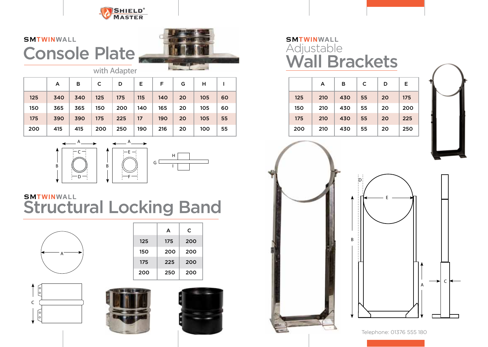

# Console Plate SM**TWINWALL**



with Adapter

|     | A   | в   | C   | D   | Е   | F.  | G  | н   |    |
|-----|-----|-----|-----|-----|-----|-----|----|-----|----|
| 125 | 340 | 340 | 125 | 175 | 115 | 140 | 20 | 105 | 60 |
| 150 | 365 | 365 | 150 | 200 | 140 | 165 | 20 | 105 | 60 |
| 175 | 390 | 390 | 175 | 225 | 17  | 190 | 20 | 105 | 55 |
| 200 | 415 | 415 | 200 | 250 | 190 | 216 | 20 | 100 | 55 |





### Structural Locking Band SM**TWINWALL**



|     | A   | C   |
|-----|-----|-----|
| 125 | 175 | 200 |
| 150 | 200 | 200 |
| 175 | 225 | 200 |
| 200 | 250 | 200 |







# Adjustable<br>**Wall Brackets SMTWINWALL**







Telephone: 01376 555 180

A

c ł

E